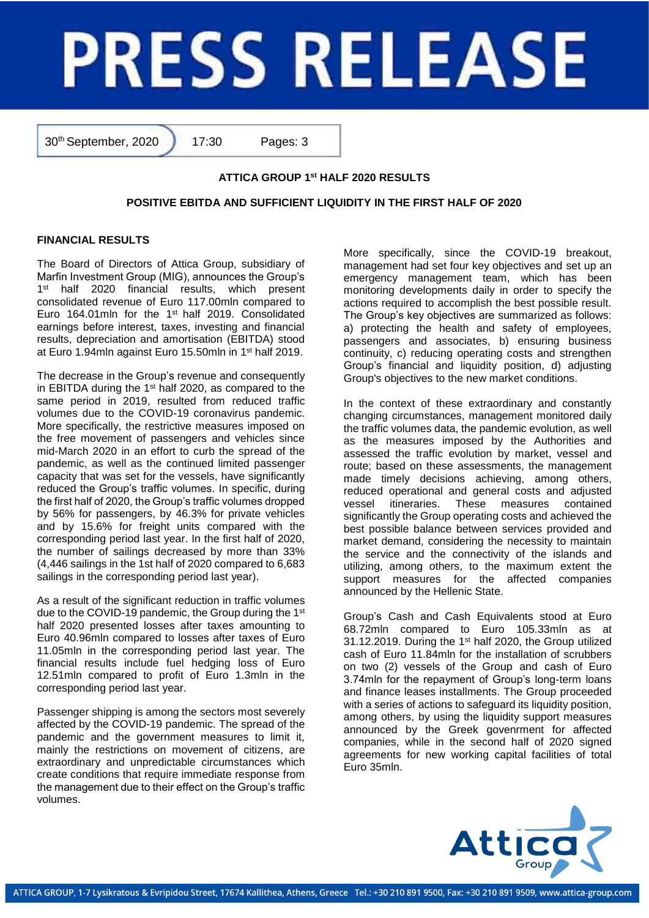# **PRESS RELEASE**

30th September, 2020 17:30 Pages: 3

# **ATTICA GROUP 1 st HALF 2020 RESULTS**

# **POSITIVE EBITDA AND SUFFICIENT LIQUIDITY IN THE FIRST HALF OF 2020**

# **FINANCIAL RESULTS**

The Board of Directors of Attica Group, subsidiary of Marfin Investment Group (MIG), announces the Group's  $1<sup>st</sup>$ half 2020 financial results, which present consolidated revenue of Euro 117.00mln compared to Euro 164.01mln for the 1<sup>st</sup> half 2019. Consolidated earnings before interest, taxes, investing and financial results, depreciation and amortisation (EBITDA) stood at Euro 1.94mln against Euro 15.50mln in 1<sup>st</sup> half 2019.

The decrease in the Group's revenue and consequently in EBITDA during the 1st half 2020, as compared to the same period in 2019, resulted from reduced traffic volumes due to the COVID-19 coronavirus pandemic. More specifically, the restrictive measures imposed on the free movement of passengers and vehicles since mid-March 2020 in an effort to curb the spread of the pandemic, as well as the continued limited passenger capacity that was set for the vessels, have significantly reduced the Group's traffic volumes. In specific, during the first half of 2020, the Group's traffic volumes dropped by 56% for passengers, by 46.3% for private vehicles and by 15.6% for freight units compared with the corresponding period last year. In the first half of 2020, the number of sailings decreased by more than 33% (4,446 sailings in the 1st half of 2020 compared to 6,683 sailings in the corresponding period last year).

As a result of the significant reduction in traffic volumes due to the COVID-19 pandemic, the Group during the 1st half 2020 presented losses after taxes amounting to Euro 40.96mln compared to losses after taxes of Euro 11.05mln in the corresponding period last year. The financial results include fuel hedging loss of Euro 12.51mln compared to profit of Euro 1.3mln in the corresponding period last year.

Passenger shipping is among the sectors most severely affected by the COVID-19 pandemic. The spread of the pandemic and the government measures to limit it, mainly the restrictions on movement of citizens, are extraordinary and unpredictable circumstances which create conditions that require immediate response from the management due to their effect on the Group's traffic volumes.

More specifically, since the COVID-19 breakout, management had set four key objectives and set up an emergency management team, which has been monitoring developments daily in order to specify the actions required to accomplish the best possible result. The Group's key objectives are summarized as follows: a) protecting the health and safety of employees, passengers and associates, b) ensuring business continuity, c) reducing operating costs and strengthen Group's financial and liquidity position, d) adjusting Group's objectives to the new market conditions.

In the context of these extraordinary and constantly changing circumstances, management monitored daily the traffic volumes data, the pandemic evolution, as well as the measures imposed by the Authorities and assessed the traffic evolution by market, vessel and route; based on these assessments, the management made timely decisions achieving, among others, reduced operational and general costs and adjusted vessel itineraries. These measures contained significantly the Group operating costs and achieved the best possible balance between services provided and market demand, considering the necessity to maintain the service and the connectivity of the islands and utilizing, among others, to the maximum extent the support measures for the affected companies announced by the Hellenic State.

Group's Cash and Cash Equivalents stood at Euro 68.72mln compared to Euro 105.33mln as at 31.12.2019. During the 1<sup>st</sup> half 2020, the Group utilized cash of Euro 11.84mln for the installation of scrubbers on two (2) vessels of the Group and cash of Euro 3.74mln for the repayment of Group's long-term loans and finance leases installments. The Group proceeded with a series of actions to safeguard its liquidity position, among others, by using the liquidity support measures announced by the Greek govenrment for affected companies, while in the second half of 2020 signed agreements for new working capital facilities of total Euro 35mln.

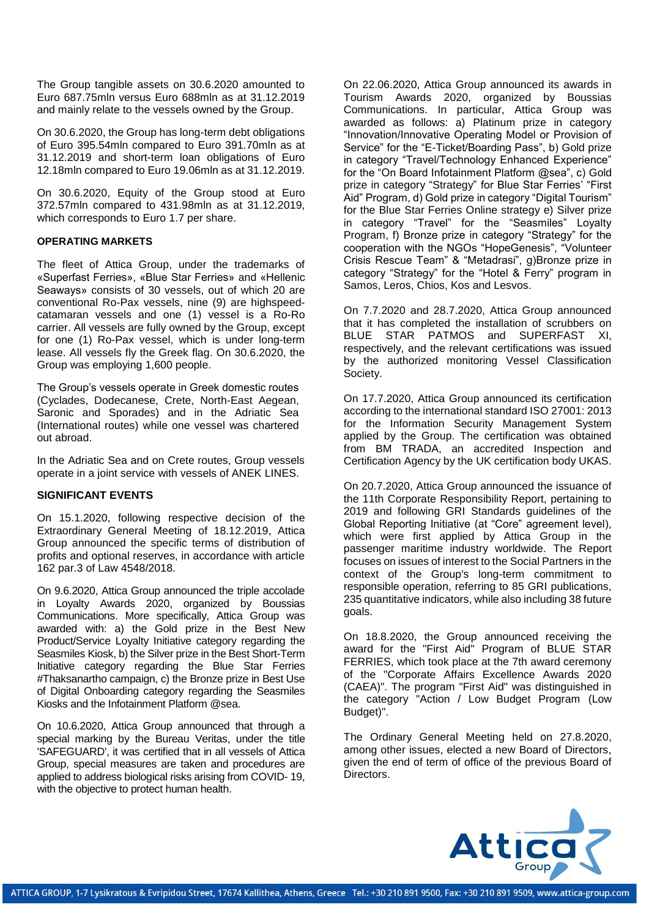The Group tangible assets on 30.6.2020 amounted to Euro 687.75mln versus Euro 688mln as at 31.12.2019 and mainly relate to the vessels owned by the Group.

On 30.6.2020, the Group has long-term debt obligations of Euro 395.54mln compared to Euro 391.70mln as at 31.12.2019 and short-term loan obligations of Euro 12.18mln compared to Euro 19.06mln as at 31.12.2019.

On 30.6.2020, Equity of the Group stood at Euro 372.57mln compared to 431.98mln as at 31.12.2019, which corresponds to Euro 1.7 per share.

### **OPERATING MARKETS**

The fleet of Attica Group, under the trademarks of «Superfast Ferries», «Blue Star Ferries» and «Hellenic Seaways» consists of 30 vessels, out of which 20 are conventional Ro-Pax vessels, nine (9) are highspeedcatamaran vessels and one (1) vessel is a Ro-Ro carrier. All vessels are fully owned by the Group, except for one (1) Ro-Pax vessel, which is under long-term lease. All vessels fly the Greek flag. On 30.6.2020, the Group was employing 1,600 people.

The Group's vessels operate in Greek domestic routes (Cyclades, Dodecanese, Crete, North-East Aegean, Saronic and Sporades) and in the Adriatic Sea (International routes) while one vessel was chartered out abroad.

In the Adriatic Sea and on Crete routes, Group vessels operate in a joint service with vessels of ANEK LINES.

# **SIGNIFICANT EVENTS**

On 15.1.2020, following respective decision of the Extraordinary General Meeting of 18.12.2019, Attica Group announced the specific terms of distribution of profits and optional reserves, in accordance with article 162 par.3 of Law 4548/2018.

On 9.6.2020, Attica Group announced the triple accolade in Loyalty Awards 2020, organized by Boussias Communications. More specifically, Attica Group was awarded with: a) the Gold prize in the Best New Product/Service Loyalty Initiative category regarding the Seasmiles Kiosk, b) the Silver prize in the Best Short-Term Initiative category regarding the Blue Star Ferries #Thaksanartho campaign, c) the Bronze prize in Best Use of Digital Onboarding category regarding the Seasmiles Kiosks and the Infotainment Platform @sea.

On 10.6.2020, Attica Group announced that through a special marking by the Bureau Veritas, under the title 'SAFEGUARD', it was certified that in all vessels of Attica Group, special measures are taken and procedures are applied to address biological risks arising from COVID- 19, with the objective to protect human health.

On 22.06.2020, Attica Group announced its awards in Tourism Awards 2020, organized by Boussias Communications. In particular, Attica Group was awarded as follows: a) Platinum prize in category "Innovation/Innovative Operating Model or Provision of Service" for the "E-Ticket/Boarding Pass", b) Gold prize in category "Travel/Technology Enhanced Experience" for the "On Board Infotainment Platform @sea", c) Gold prize in category "Strategy" for Blue Star Ferries' "First Aid" Program, d) Gold prize in category "Digital Tourism" for the Blue Star Ferries Online strategy e) Silver prize in category "Travel" for the "Seasmiles" Loyalty Program, f) Bronze prize in category "Strategy" for the cooperation with the NGOs "HopeGenesis", "Volunteer Crisis Rescue Team" & "Metadrasi", g)Bronze prize in category "Strategy" for the "Hotel & Ferry" program in Samos, Leros, Chios, Kos and Lesvos.

On 7.7.2020 and 28.7.2020, Attica Group announced that it has completed the installation of scrubbers on BLUE STAR PATMOS and SUPERFAST XI, respectively, and the relevant certifications was issued by the authorized monitoring Vessel Classification Society.

On 17.7.2020, Attica Group announced its certification according to the international standard ISO 27001: 2013 for the Information Security Management System applied by the Group. The certification was obtained from BM TRADA, an accredited Inspection and Certification Agency by the UK certification body UKAS.

On 20.7.2020, Attica Group announced the issuance of the 11th Corporate Responsibility Report, pertaining to 2019 and following GRI Standards guidelines of the Global Reporting Initiative (at "Core" agreement level), which were first applied by Attica Group in the passenger maritime industry worldwide. The Report focuses on issues of interest to the Social Partners in the context of the Group's long-term commitment to responsible operation, referring to 85 GRI publications, 235 quantitative indicators, while also including 38 future goals.

On 18.8.2020, the Group announced receiving the award for the "First Aid" Program of BLUE STAR FERRIES, which took place at the 7th award ceremony of the "Corporate Affairs Excellence Awards 2020 (CAEA)". The program "First Aid" was distinguished in the category "Action / Low Budget Program (Low Budget)".

The Ordinary General Meeting held on 27.8.2020, among other issues, elected a new Board of Directors, given the end of term of office of the previous Board of Directors.